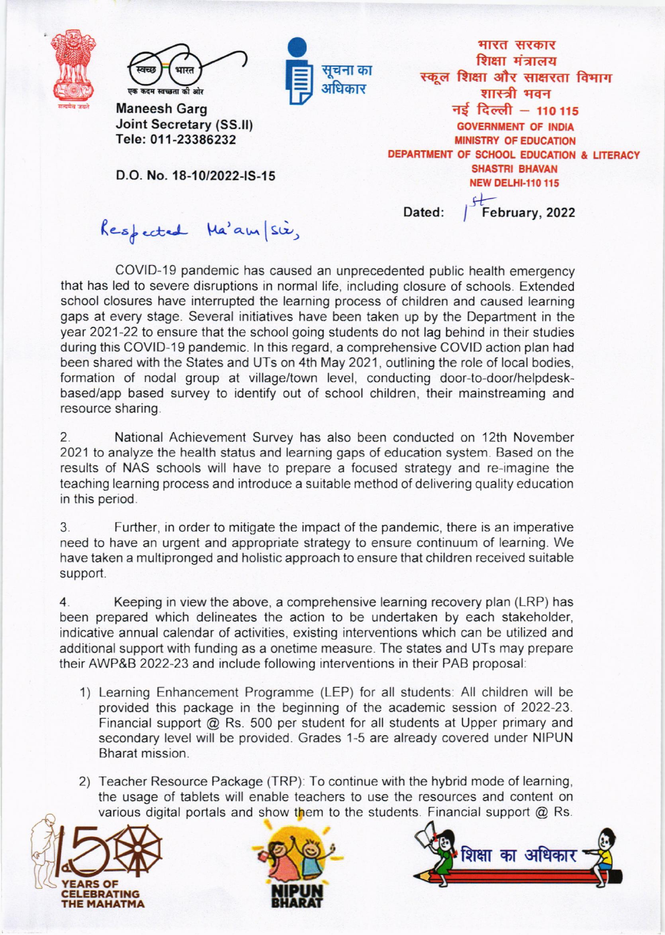|  | स्वच्छ<br>भारत<br>एक कदम स्वच्छता की ओर<br><b>Maneesh Garg</b><br><b>Joint Secretary (SS.II)</b><br>Tele: 011-23386232 | सूचना का<br>अधिकार | भारत सरकार<br>शिक्षा मंत्रालय<br>स्कूल शिक्षा और साक्षरता विभाग<br>शास्त्री भवन<br>नई दिल्ली - 110 115<br><b>GOVERNMENT OF INDIA</b><br><b>MINISTRY OF EDUCATION</b> |
|--|------------------------------------------------------------------------------------------------------------------------|--------------------|----------------------------------------------------------------------------------------------------------------------------------------------------------------------|
|  | D.O. No. 18-10/2022-IS-15                                                                                              |                    | DEPARTMENT OF SCHOOL EDUCATION & LITERACY<br><b>SHASTRI BHAVAN</b><br><b>NEW DELHI-110 115</b>                                                                       |
|  | Respected Ma'am/sie,                                                                                                   |                    | February, 2022<br>Dated:                                                                                                                                             |

COVID-19 pandemic has caused an unprecedented public health emergency that has led to severe disruptions in normal life, including closure of schools. Extended school closures have interrupted the learning process of children and caused learning gaps at every stage. Several initiatives have been taken up by the Department in the year 2021-22 to ensure that the school going students do not lag behind in their studies during this COVID-19 pandemic. ln this regard, a comprehensive COVID action plan had been shared with the States and UTs on 4th May 2021 , outlining the role of local bodies, formation of nodal group at village/town level, conducting door-to-door/helpdeskbased/app based survey to identify out of school children, their mainstreaming and resource sharing.

2. National Achievement Survey has also been conducted on 12th November 2021 to analyze the health status and learning gaps of education system. Based on the results of NAS schools will have to prepare a focused strategy and re-imagine the teaching learning process and introduce a suitable method of delivering quality education in this period.

3. Further, in order to mitigate the impact of the pandemic, there is an imperative need to have an urgent and appropriate strategy to ensure continuum of learning. We have taken a multipronged and holistic approach to ensure that children received suitable support.

4. Keeping in view the above, a comprehensive learning recovery plan (LRP) has been prepared which delineates the action to be undertaken by each stakeholder, indicative annual calendar of activities, existing interventions which can be utilized and additional support with funding as a onetime measure. The states and UTs may prepare their AWP&B 2022-23 and include following interventions in their PAB proposal

- 1) Learning Enhancement Programme (LEP) for all students. All children will be provided this package in the beginning of the academic session of 2022-23. Financial support @ Rs. 500 per student for all students at Upper primary and secondary level will be provided. Grades 1-5 are already covered under NIPUN Bharat mission.
- various digital portals and show them to the students. Financial support  $@$  Rs. 2) Teacher Resource Package (TRP): To continue with the hybrid mode of learning, the usage of tablets will enable teachers to use the resources and content on